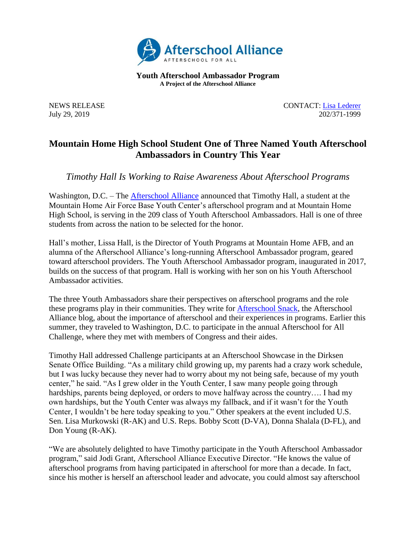

**Youth Afterschool Ambassador Program A Project of the Afterschool Alliance**

NEWS RELEASE CONTACT: [Lisa](mailto:lisa@prsolutionsdc.com?subject=2017-18%20Ambassador:%20) [Lederer](mailto:lisa@prsolutionsdc.com) July 29, 2019 202/371-1999

## **Mountain Home High School Student One of Three Named Youth Afterschool Ambassadors in Country This Year**

*Timothy Hall Is Working to Raise Awareness About Afterschool Programs*

Washington, D.C. – The [Afterschool](http://www.afterschoolalliance.org/) Alliance announced that Timothy Hall, a student at the Mountain Home Air Force Base Youth Center's afterschool program and at Mountain Home High School, is serving in the 209 class of Youth Afterschool Ambassadors. Hall is one of three students from across the nation to be selected for the honor.

Hall's mother, Lissa Hall, is the Director of Youth Programs at Mountain Home AFB, and an alumna of the Afterschool Alliance's long-running Afterschool Ambassador program, geared toward afterschool providers. The Youth Afterschool Ambassador program, inaugurated in 2017, builds on the success of that program. Hall is working with her son on his Youth Afterschool Ambassador activities.

The three Youth Ambassadors share their perspectives on afterschool programs and the role these programs play in their communities. They write for [Afterschool Snack,](http://www.afterschoolalliance.org/afterschoolsnack/ASnack.cfm) the Afterschool Alliance blog, about the importance of afterschool and their experiences in programs. Earlier this summer, they traveled to Washington, D.C. to participate in the annual Afterschool for All Challenge, where they met with members of Congress and their aides.

Timothy Hall addressed Challenge participants at an Afterschool Showcase in the Dirksen Senate Office Building. "As a military child growing up, my parents had a crazy work schedule, but I was lucky because they never had to worry about my not being safe, because of my youth center," he said. "As I grew older in the Youth Center, I saw many people going through hardships, parents being deployed, or orders to move halfway across the country.... I had my own hardships, but the Youth Center was always my fallback, and if it wasn't for the Youth Center, I wouldn't be here today speaking to you." Other speakers at the event included U.S. Sen. Lisa Murkowski (R-AK) and U.S. Reps. Bobby Scott (D-VA), Donna Shalala (D-FL), and Don Young (R-AK).

"We are absolutely delighted to have Timothy participate in the Youth Afterschool Ambassador program," said Jodi Grant, Afterschool Alliance Executive Director. "He knows the value of afterschool programs from having participated in afterschool for more than a decade. In fact, since his mother is herself an afterschool leader and advocate, you could almost say afterschool